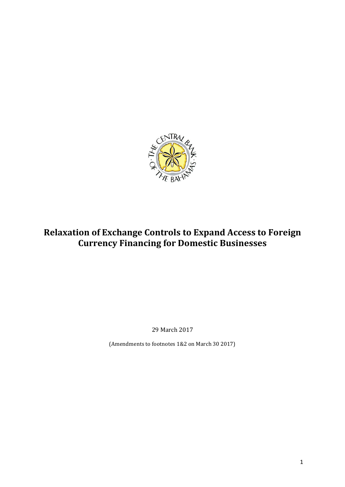

# **Relaxation of Exchange Controls to Expand Access to Foreign Currency Financing for Domestic Businesses**

29 March 2017

(Amendments to footnotes 1&2 on March 30 2017)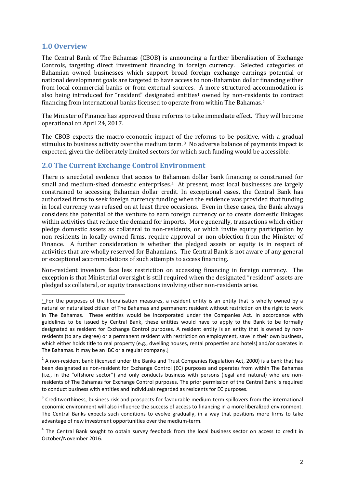#### **1.0 Overview**

 $\overline{a}$ 

The Central Bank of The Bahamas (CBOB) is announcing a further liberalisation of Exchange Controls, targeting direct investment financing in foreign currency. Selected categories of Bahamian owned businesses which support broad foreign exchange earnings potential or national development goals are targeted to have access to non-Bahamian dollar financing either from local commercial banks or from external sources. A more structured accommodation is also being introduced for "resident" designated entities<sup>1</sup> owned by non-residents to contract financing from international banks licensed to operate from within The Bahamas.<sup>2</sup>

The Minister of Finance has approved these reforms to take immediate effect. They will become operational on April 24, 2017.

The CBOB expects the macro-economic impact of the reforms to be positive, with a gradual stimulus to business activity over the medium term. <sup>3</sup> No adverse balance of payments impact is expected, given the deliberately limited sectors for which such funding would be accessible.

## **2.0 The Current Exchange Control Environment**

There is anecdotal evidence that access to Bahamian dollar bank financing is constrained for small and medium-sized domestic enterprises.4 At present, most local businesses are largely constrained to accessing Bahaman dollar credit. In exceptional cases, the Central Bank has authorized firms to seek foreign currency funding when the evidence was provided that funding in local currency was refused on at least three occasions. Even in these cases, the Bank always considers the potential of the venture to earn foreign currency or to create domestic linkages within activities that reduce the demand for imports. More generally, transactions which either pledge domestic assets as collateral to non-residents, or which invite equity participation by non-residents in locally owned firms, require approval or non-objection from the Minister of Finance. A further consideration is whether the pledged assets or equity is in respect of activities that are wholly reserved for Bahamians. The Central Bank is not aware of any general or exceptional accommodations of such attempts to access financing.

Non-resident investors face less restriction on accessing financing in foreign currency. The exception is that Ministerial oversight is still required when the designated "resident" assets are pledged as collateral, or equity transactions involving other non-residents arise.

 $1$  For the purposes of the liberalisation measures, a resident entity is an entity that is wholly owned by a natural or naturalized citizen of The Bahamas and permanent resident without restriction on the right to work in The Bahamas. These entities would be incorporated under the Companies Act. In accordance with guidelines to be issued by Central Bank, these entities would have to apply to the Bank to be formally designated as resident for Exchange Control purposes. A resident entity is an entity that is owned by nonresidents (to any degree) or a permanent resident with restriction on employment, save in their own business, which either holds title to real property (e.g., dwelling houses, rental properties and hotels) and/or operates in The Bahamas. It may be an IBC or a regular company.]

 $2$  A non-resident bank (licensed under the Banks and Trust Companies Regulation Act, 2000) is a bank that has been designated as non-resident for Exchange Control (EC) purposes and operates from within The Bahamas (i.e., in the "offshore sector") and only conducts business with persons (legal and natural) who are nonresidents of The Bahamas for Exchange Control purposes. The prior permission of the Central Bank is required to conduct business with entities and individuals regarded as residents for EC purposes.

<sup>&</sup>lt;sup>3</sup> Creditworthiness, business risk and prospects for favourable medium-term spillovers from the international economic environment will also influence the success of access to financing in a more liberalized environment. The Central Banks expects such conditions to evolve gradually, in a way that positions more firms to take advantage of new investment opportunities over the medium-term.

<sup>&</sup>lt;sup>4</sup> The Central Bank sought to obtain survey feedback from the local business sector on access to credit in October/November 2016.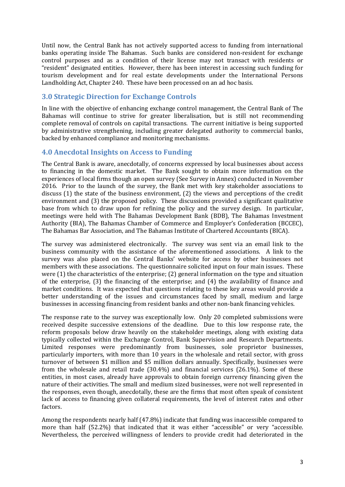Until now, the Central Bank has not actively supported access to funding from international banks operating inside The Bahamas. Such banks are considered non-resident for exchange control purposes and as a condition of their license may not transact with residents or "resident" designated entities. However, there has been interest in accessing such funding for tourism development and for real estate developments under the International Persons Landholding Act, Chapter 240. These have been processed on an ad hoc basis.

## **3.0 Strategic Direction for Exchange Controls**

In line with the objective of enhancing exchange control management, the Central Bank of The Bahamas will continue to strive for greater liberalisation, but is still not recommending complete removal of controls on capital transactions. The current initiative is being supported by administrative strengthening, including greater delegated authority to commercial banks, backed by enhanced compliance and monitoring mechanisms.

## **4.0 Anecdotal Insights on Access to Funding**

The Central Bank is aware, anecdotally, of concerns expressed by local businesses about access to financing in the domestic market. The Bank sought to obtain more information on the experiences of local firms though an open survey (See Survey in Annex) conducted in November 2016. Prior to the launch of the survey, the Bank met with key stakeholder associations to discuss (1) the state of the business environment, (2) the views and perceptions of the credit environment and (3) the proposed policy. These discussions provided a significant qualitative base from which to draw upon for refining the policy and the survey design. In particular, meetings were held with The Bahamas Development Bank (BDB), The Bahamas Investment Authority (BIA), The Bahamas Chamber of Commerce and Employer's Confederation (BCCEC), The Bahamas Bar Association, and The Bahamas Institute of Chartered Accountants (BICA).

The survey was administered electronically. The survey was sent via an email link to the business community with the assistance of the aforementioned associations. A link to the survey was also placed on the Central Banks' website for access by other businesses not members with these associations. The questionnaire solicited input on four main issues. These were (1) the characteristics of the enterprise; (2) general information on the type and situation of the enterprise, (3) the financing of the enterprise; and (4) the availability of finance and market conditions. It was expected that questions relating to these key areas would provide a better understanding of the issues and circumstances faced by small, medium and large businesses in accessing financing from resident banks and other non-bank financing vehicles.

The response rate to the survey was exceptionally low. Only 20 completed submissions were received despite successive extensions of the deadline. Due to this low response rate, the reform proposals below draw heavily on the stakeholder meetings, along with existing data typically collected within the Exchange Control, Bank Supervision and Research Departments. Limited responses were predominantly from businesses, sole proprietor businesses, particularly importers, with more than 10 years in the wholesale and retail sector, with gross turnover of between \$1 million and \$5 million dollars annually. Specifically, businesses were from the wholesale and retail trade (30.4%) and financial services (26.1%). Some of these entities, in most cases, already have approvals to obtain foreign currency financing given the nature of their activities. The small and medium sized businesses, were not well represented in the responses, even though, anecdotally, these are the firms that most often speak of consistent lack of access to financing given collateral requirements, the level of interest rates and other factors.

Among the respondents nearly half (47.8%) indicate that funding was inaccessible compared to more than half (52.2%) that indicated that it was either "accessible" or very "accessible. Nevertheless, the perceived willingness of lenders to provide credit had deteriorated in the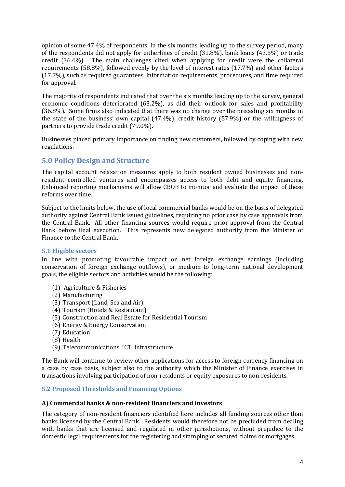opinion of some 47.4% of respondents. In the six months leading up to the survey period, many of the respondents did not apply for eitherlines of credit (31.8%), bank loans (43.5%) or trade credit (36.4%). The main challenges cited when applying for credit were the collateral requirements (58.8%), followed evenly by the level of interest rates (17.7%) and other factors (17.7%), such as required guarantees, information requirements, procedures, and time required for approval.

The majority of respondents indicated that over the six months leading up to the survey, general economic conditions deteriorated (63.2%), as did their outlook for sales and profitability (36.8%). Some firms also indicated that there was no change over the preceding six months in the state of the business' own capital (47.4%), credit history (57.9%) or the willingness of partners to provide trade credit (79.0%).

Businesses placed primary importance on finding new customers, followed by coping with new regulations.

## **5.0 Policy Design and Structure**

The capital account relaxation measures apply to both resident owned businesses and nonresident controlled ventures and encompasses access to both debt and equity financing. Enhanced reporting mechanisms will allow CBOB to monitor and evaluate the impact of these reforms over time.

Subject to the limits below, the use of local commercial banks would be on the basis of delegated authority against Central Bank issued guidelines, requiring no prior case by case approvals from the Central Bank. All other financing sources would require prior approval from the Central Bank before final execution. This represents new delegated authority from the Minister of Finance to the Central Bank.

#### **5.1 Eligible sectors**

In line with promoting favourable impact on net foreign exchange earnings (including conservation of foreign exchange outflows), or medium to long-term national development goals, the eligible sectors and activities would be the following:

- (1) Agriculture & Fisheries
- (2) Manufacturing
- (3) Transport (Land, Sea and Air)
- (4) Tourism (Hotels & Restaurant)
- (5) Construction and Real Estate for Residential Tourism
- (6) Energy & Energy Conservation
- (7) Education
- (8) Health
- (9) Telecommunications, ICT, Infrastructure

The Bank will continue to review other applications for access to foreign currency financing on a case by case basis, subject also to the authority which the Minister of Finance exercises in transactions involving participation of non-residents or equity exposures to non-residents.

#### **5.2 Proposed Thresholds and Financing Options**

#### **A) Commercial banks & non-resident financiers and investors**

The category of non-resident financiers identified here includes all funding sources other than banks licensed by the Central Bank. Residents would therefore not be precluded from dealing with banks that are licensed and regulated in other jurisdictions, without prejudice to the domestic legal requirements for the registering and stamping of secured claims or mortgages.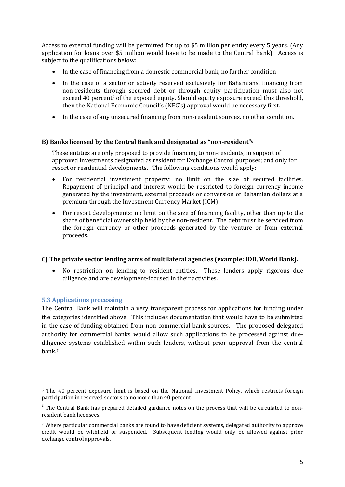Access to external funding will be permitted for up to \$5 million per entity every 5 years. (Any application for loans over \$5 million would have to be made to the Central Bank). Access is subject to the qualifications below:

- In the case of financing from a domestic commercial bank, no further condition.
- In the case of a sector or activity reserved exclusively for Bahamians, financing from non-residents through secured debt or through equity participation must also not exceed 40 percent<sup>5</sup> of the exposed equity. Should equity exposure exceed this threshold, then the National Economic Council's (NEC's) approval would be necessary first.
- In the case of any unsecured financing from non-resident sources, no other condition.

#### **B) Banks licensed by the Central Bank and designated as "non-resident"<sup>6</sup>**

These entities are only proposed to provide financing to non-residents, in support of approved investments designated as resident for Exchange Control purposes; and only for resort or residential developments. The following conditions would apply:

- For residential investment property: no limit on the size of secured facilities. Repayment of principal and interest would be restricted to foreign currency income generated by the investment, external proceeds or conversion of Bahamian dollars at a premium through the Investment Currency Market (ICM).
- For resort developments: no limit on the size of financing facility, other than up to the share of beneficial ownership held by the non-resident. The debt must be serviced from the foreign currency or other proceeds generated by the venture or from external proceeds.

#### **C) The private sector lending arms of multilateral agencies (example: IDB, World Bank).**

 No restriction on lending to resident entities. These lenders apply rigorous due diligence and are development-focused in their activities.

#### **5.3 Applications processing**

1

The Central Bank will maintain a very transparent process for applications for funding under the categories identified above. This includes documentation that would have to be submitted in the case of funding obtained from non-commercial bank sources. The proposed delegated authority for commercial banks would allow such applications to be processed against duediligence systems established within such lenders, without prior approval from the central hank<sup>7</sup>

<sup>5</sup> The 40 percent exposure limit is based on the National Investment Policy, which restricts foreign participation in reserved sectors to no more than 40 percent.

 $6$  The Central Bank has prepared detailed guidance notes on the process that will be circulated to nonresident bank licensees.

<sup>7</sup> Where particular commercial banks are found to have deficient systems, delegated authority to approve credit would be withheld or suspended. Subsequent lending would only be allowed against prior exchange control approvals.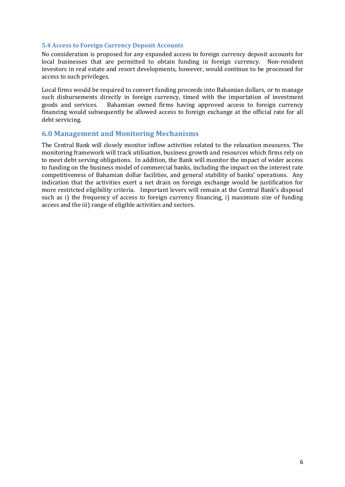#### **5.4 Access to Foreign Currency Deposit Accounts**

No consideration is proposed for any expanded access to foreign currency deposit accounts for local businesses that are permitted to obtain funding in foreign currency. Non-resident investors in real estate and resort developments, however, would continue to be processed for access to such privileges.

Local firms would be required to convert funding proceeds into Bahamian dollars, or to manage such disbursements directly in foreign currency, timed with the importation of investment goods and services. Bahamian owned firms having approved access to foreign currency financing would subsequently be allowed access to foreign exchange at the official rate for all debt servicing.

#### **6.0 Management and Monitoring Mechanisms**

The Central Bank will closely monitor inflow activities related to the relaxation measures. The monitoring framework will track utilisation, business growth and resources which firms rely on to meet debt serving obligations. In addition, the Bank will monitor the impact of wider access to funding on the business model of commercial banks, including the impact on the interest rate competitiveness of Bahamian dollar facilities, and general stability of banks' operations. Any indication that the activities exert a net drain on foreign exchange would be justification for more restricted eligibility criteria. Important levers will remain at the Central Bank's disposal such as i) the frequency of access to foreign currency financing, i) maximum size of funding access and the iii) range of eligible activities and sectors.